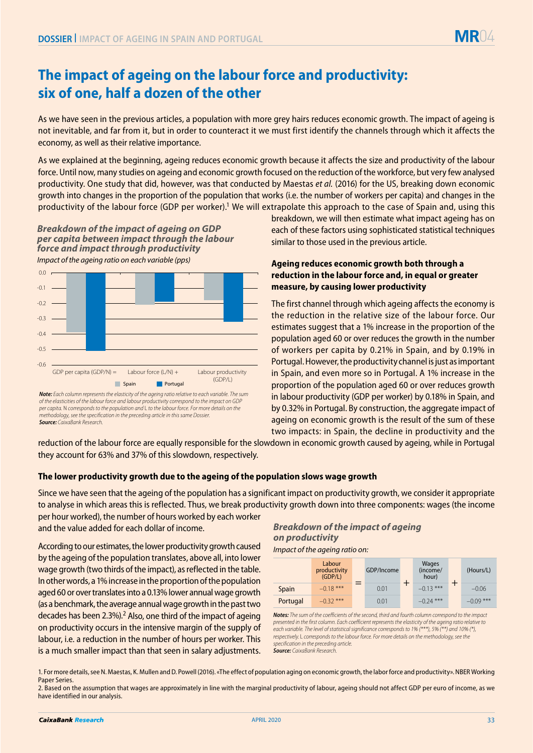

# **The impact of ageing on the labour force and productivity: six of one, half a dozen of the other**

As we have seen in the previous articles, a population with more grey hairs reduces economic growth. The impact of ageing is not inevitable, and far from it, but in order to counteract it we must first identify the channels through which it affects the economy, as well as their relative importance.

As we explained at the beginning, ageing reduces economic growth because it affects the size and productivity of the labour force. Until now, many studies on ageing and economic growth focused on the reduction of the workforce, but very few analysed productivity. One study that did, however, was that conducted by Maestas *et al.* (2016) for the US, breaking down economic growth into changes in the proportion of the population that works (i.e. the number of workers per capita) and changes in the productivity of the labour force (GDP per worker).1 We will extrapolate this approach to the case of Spain and, using this

*Impact of the ageing ratio on each variable (pps) Breakdown of the impact of ageing on GDP per capita between impact through the labour force and impact through productivity*



*Source: CaixaBank Research. of the elasticities of the labour force and labour productivity correspond to the impact on GDP per capita.* N *corresponds to the population and* L *to the labour force. For more details on the methodology, see the specification in the preceding article in this same Dossier.*

breakdown, we will then estimate what impact ageing has on each of these factors using sophisticated statistical techniques similar to those used in the previous article.

## **Ageing reduces economic growth both through a reduction in the labour force and, in equal or greater measure, by causing lower productivity**

The first channel through which ageing affects the economy is the reduction in the relative size of the labour force. Our estimates suggest that a 1% increase in the proportion of the population aged 60 or over reduces the growth in the number of workers per capita by 0.21% in Spain, and by 0.19% in Portugal. However, the productivity channel is just as important in Spain, and even more so in Portugal. A 1% increase in the proportion of the population aged 60 or over reduces growth in labour productivity (GDP per worker) by 0.18% in Spain, and by 0.32% in Portugal. By construction, the aggregate impact of ageing on economic growth is the result of the sum of these two impacts: in Spain, the decline in productivity and the

reduction of the labour force are equally responsible for the slowdown in economic growth caused by ageing, while in Portugal they account for 63% and 37% of this slowdown, respectively.

### **The lower productivity growth due to the ageing of the population slows wage growth**

Since we have seen that the ageing of the population has a significant impact on productivity growth, we consider it appropriate to analyse in which areas this is reflected. Thus, we break productivity growth down into three components: wages (the income per hour worked), the number of hours worked by each worker

and the value added for each dollar of income.

According to our estimates, the lower productivity growth caused by the ageing of the population translates, above all, into lower wage growth (two thirds of the impact), as reflected in the table. In other words, a 1% increase in the proportion of the population aged 60 or over translates into a 0.13% lower annual wage growth (as a benchmark, the average annual wage growth in the past two decades has been 2.3%).<sup>2</sup> Also, one third of the impact of ageing on productivity occurs in the intensive margin of the supply of labour, i.e. a reduction in the number of hours per worker. This is a much smaller impact than that seen in salary adjustments.

# *Breakdown of the impact of ageing on productivity*

*Impact of the ageing ratio on:*

|          | Labour<br>productivity<br>(GDP/L) |  | GDP/Income |  | Wages<br>(income/<br>hour) |  | (Hours/L)   |
|----------|-----------------------------------|--|------------|--|----------------------------|--|-------------|
| Spain    | $-0.18$ ***                       |  | 0.01       |  | $-0.13$ ***                |  | $-0.06$     |
| Portugal | $-0.32$ ***                       |  | 0.01       |  | $-0.24$ ***                |  | $-0.09$ *** |

*Notes: The sum of the coefficients of the second, third and fourth column correspond to the impact presented in the first column. Each coefficient represents the elasticity of the ageing ratio relative to each variable. The level of statistical significance corresponds to 1% (\*\*\*), 5% (\*\*) and 10% (\*), respectively.* L *corresponds to the labour force. For more details on the methodology, see the specification in the preceding article. Source: CaixaBank Research.*

1. For more details, see N. Maestas, K. Mullen and D. Powell (2016). «The effect of population aging on economic growth, the labor force and productivity». NBER Working Paper Series.

<sup>2.</sup> Based on the assumption that wages are approximately in line with the marginal productivity of labour, ageing should not affect GDP per euro of income, as we have identified in our analysis.